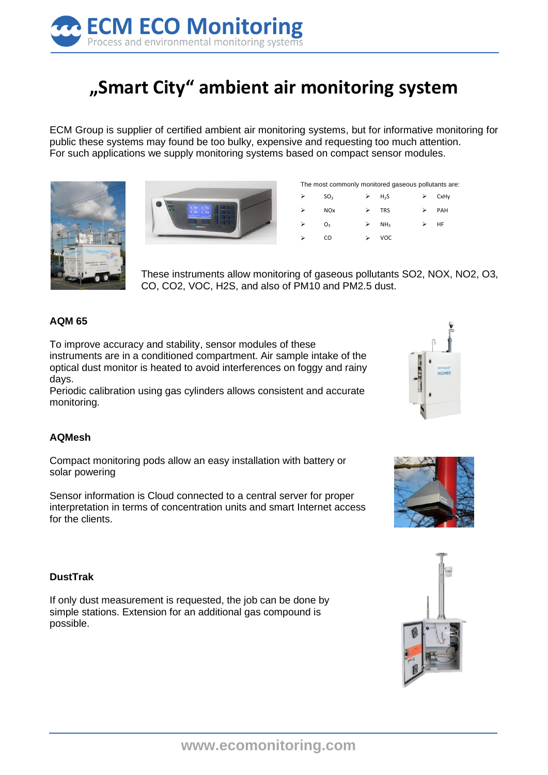

# **"Smart City" ambient air monitoring system**

ECM Group is supplier of certified ambient air monitoring systems, but for informative monitoring for public these systems may found be too bulky, expensive and requesting too much attention. For such applications we supply monitoring systems based on compact sensor modules.





|                  |                       |   | The most commonly monitored gaseous pollutants are: |           |
|------------------|-----------------------|---|-----------------------------------------------------|-----------|
| ➤                | SO <sub>2</sub>       | ⋗ | H <sub>2</sub> S                                    | CxHv      |
| $\triangleright$ | <b>NO<sub>x</sub></b> |   | <b>TRS</b>                                          | PAH       |
| ➤                | O <sub>3</sub>        | ≻ | NH <sub>3</sub>                                     | <b>HF</b> |
|                  | CO                    |   | VOC.                                                |           |

These instruments allow monitoring of gaseous pollutants SO2, NOX, NO2, O3, CO, CO2, VOC, H2S, and also of PM10 and PM2.5 dust.

#### **AQM 65**

To improve accuracy and stability, sensor modules of these instruments are in a conditioned compartment. Air sample intake of the optical dust monitor is heated to avoid interferences on foggy and rainy days.

Periodic calibration using gas cylinders allows consistent and accurate monitoring.

#### **AQMesh**

Compact monitoring pods allow an easy installation with battery or solar powering

Sensor information is Cloud connected to a central server for proper interpretation in terms of concentration units and smart Internet access for the clients.



#### **DustTrak**

If only dust measurement is requested, the job can be done by simple stations. Extension for an additional gas compound is possible.